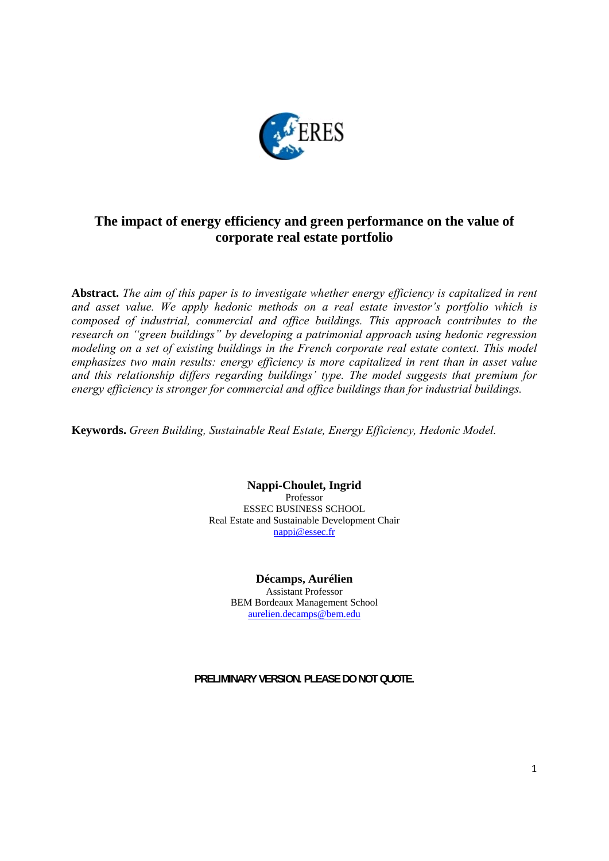

### **The impact of energy efficiency and green performance on the value of corporate real estate portfolio**

**Abstract.** *The aim of this paper is to investigate whether energy efficiency is capitalized in rent and asset value. We apply hedonic methods on a real estate investor's portfolio which is composed of industrial, commercial and office buildings. This approach contributes to the research on "green buildings" by developing a patrimonial approach using hedonic regression modeling on a set of existing buildings in the French corporate real estate context. This model emphasizes two main results: energy efficiency is more capitalized in rent than in asset value and this relationship differs regarding buildings' type. The model suggests that premium for energy efficiency is stronger for commercial and office buildings than for industrial buildings.*

**Keywords.** *Green Building, Sustainable Real Estate, Energy Efficiency, Hedonic Model.*

**Nappi-Choulet, Ingrid** Professor ESSEC BUSINESS SCHOOL Real Estate and Sustainable Development Chair nappi@essec.fr

#### **Décamps, Aurélien**

Assistant Professor BEM Bordeaux Management School aurelien.decamps@bem.edu

**PRELIMINARY VERSION. PLEASE DO NOT QUOTE.**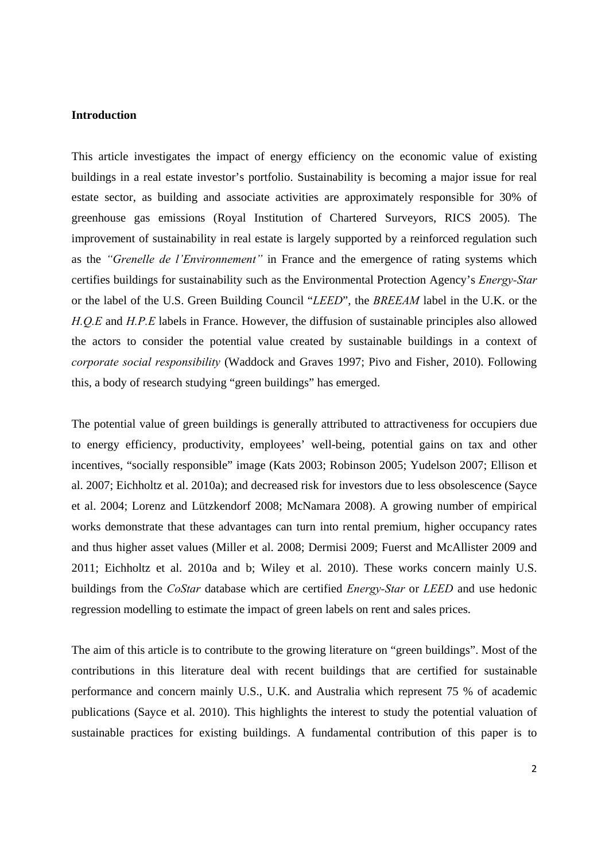#### **Introduction**

This article investigates the impact of energy efficiency on the economic value of existing buildings in a real estate investor's portfolio. Sustainability is becoming a major issue for real estate sector, as building and associate activities are approximately responsible for 30% of greenhouse gas emissions (Royal Institution of Chartered Surveyors, RICS 2005). The improvement of sustainability in real estate is largely supported by a reinforced regulation such as the *"Grenelle de l'Environnement"* in France and the emergence of rating systems which certifies buildings for sustainability such as the Environmental Protection Agency's *Energy-Star* or the label of the U.S. Green Building Council "*LEED*", the *BREEAM* label in the U.K. or the *H.Q.E* and *H.P.E* labels in France. However, the diffusion of sustainable principles also allowed the actors to consider the potential value created by sustainable buildings in a context of *corporate social responsibility* (Waddock and Graves 1997; Pivo and Fisher, 2010). Following this, a body of research studying "green buildings" has emerged.

The potential value of green buildings is generally attributed to attractiveness for occupiers due to energy efficiency, productivity, employees' well-being, potential gains on tax and other incentives, "socially responsible" image (Kats 2003; Robinson 2005; Yudelson 2007; Ellison et al. 2007; Eichholtz et al. 2010a); and decreased risk for investors due to less obsolescence (Sayce et al. 2004; Lorenz and Lützkendorf 2008; McNamara 2008). A growing number of empirical works demonstrate that these advantages can turn into rental premium, higher occupancy rates and thus higher asset values (Miller et al. 2008; Dermisi 2009; Fuerst and McAllister 2009 and 2011; Eichholtz et al. 2010a and b; Wiley et al. 2010). These works concern mainly U.S. buildings from the *CoStar* database which are certified *Energy-Star* or *LEED* and use hedonic regression modelling to estimate the impact of green labels on rent and sales prices.

The aim of this article is to contribute to the growing literature on "green buildings". Most of the contributions in this literature deal with recent buildings that are certified for sustainable performance and concern mainly U.S., U.K. and Australia which represent 75 % of academic publications (Sayce et al. 2010). This highlights the interest to study the potential valuation of sustainable practices for existing buildings. A fundamental contribution of this paper is to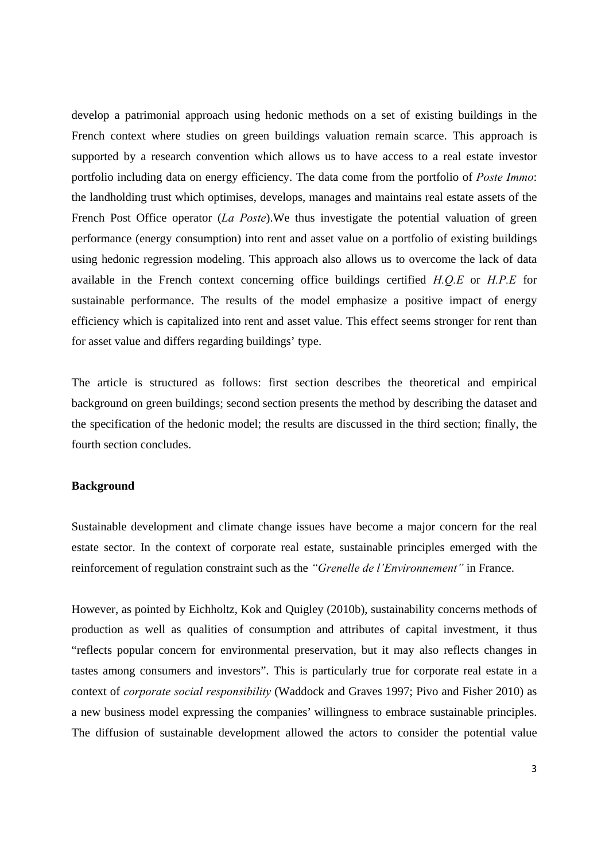develop a patrimonial approach using hedonic methods on a set of existing buildings in the French context where studies on green buildings valuation remain scarce. This approach is supported by a research convention which allows us to have access to a real estate investor portfolio including data on energy efficiency. The data come from the portfolio of *Poste Immo*: the landholding trust which optimises, develops, manages and maintains real estate assets of the French Post Office operator (*La Poste*).We thus investigate the potential valuation of green performance (energy consumption) into rent and asset value on a portfolio of existing buildings using hedonic regression modeling. This approach also allows us to overcome the lack of data available in the French context concerning office buildings certified *H.Q.E* or *H.P.E* for sustainable performance. The results of the model emphasize a positive impact of energy efficiency which is capitalized into rent and asset value. This effect seems stronger for rent than for asset value and differs regarding buildings' type.

The article is structured as follows: first section describes the theoretical and empirical background on green buildings; second section presents the method by describing the dataset and the specification of the hedonic model; the results are discussed in the third section; finally, the fourth section concludes.

#### **Background**

Sustainable development and climate change issues have become a major concern for the real estate sector. In the context of corporate real estate, sustainable principles emerged with the reinforcement of regulation constraint such as the *"Grenelle de l'Environnement"* in France.

However, as pointed by Eichholtz, Kok and Quigley (2010b), sustainability concerns methods of production as well as qualities of consumption and attributes of capital investment, it thus "reflects popular concern for environmental preservation, but it may also reflects changes in tastes among consumers and investors". This is particularly true for corporate real estate in a context of *corporate social responsibility* (Waddock and Graves 1997; Pivo and Fisher 2010) as a new business model expressing the companies' willingness to embrace sustainable principles. The diffusion of sustainable development allowed the actors to consider the potential value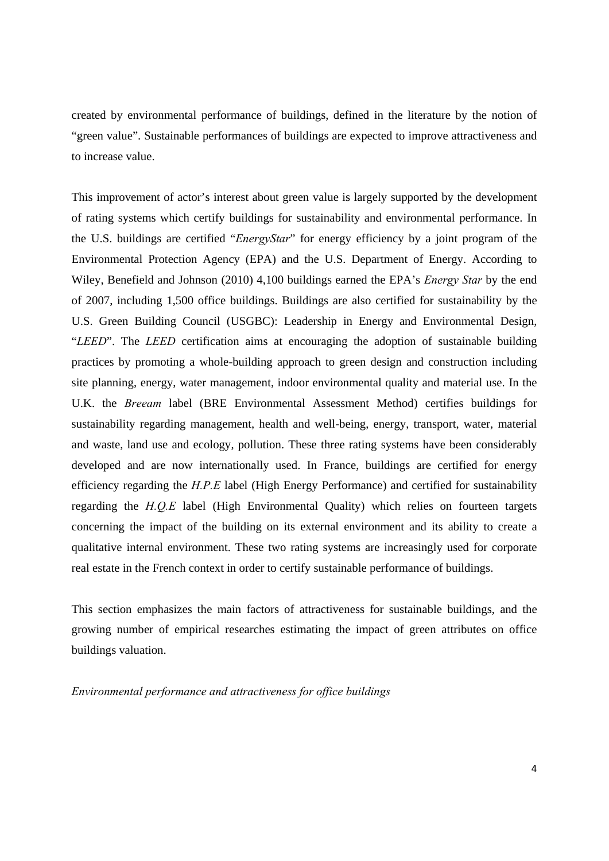created by environmental performance of buildings, defined in the literature by the notion of "green value". Sustainable performances of buildings are expected to improve attractiveness and to increase value.

This improvement of actor's interest about green value is largely supported by the development of rating systems which certify buildings for sustainability and environmental performance. In the U.S. buildings are certified "*EnergyStar*" for energy efficiency by a joint program of the Environmental Protection Agency (EPA) and the U.S. Department of Energy. According to Wiley, Benefield and Johnson (2010) 4,100 buildings earned the EPA's *Energy Star* by the end of 2007, including 1,500 office buildings. Buildings are also certified for sustainability by the U.S. Green Building Council (USGBC): Leadership in Energy and Environmental Design, "*LEED*". The *LEED* certification aims at encouraging the adoption of sustainable building practices by promoting a whole-building approach to green design and construction including site planning, energy, water management, indoor environmental quality and material use. In the U.K. the *Breeam* label (BRE Environmental Assessment Method) certifies buildings for sustainability regarding management, health and well-being, energy, transport, water, material and waste, land use and ecology, pollution. These three rating systems have been considerably developed and are now internationally used. In France, buildings are certified for energy efficiency regarding the *H.P.E* label (High Energy Performance) and certified for sustainability regarding the *H.Q.E* label (High Environmental Quality) which relies on fourteen targets concerning the impact of the building on its external environment and its ability to create a qualitative internal environment. These two rating systems are increasingly used for corporate real estate in the French context in order to certify sustainable performance of buildings.

This section emphasizes the main factors of attractiveness for sustainable buildings, and the growing number of empirical researches estimating the impact of green attributes on office buildings valuation.

*Environmental performance and attractiveness for office buildings*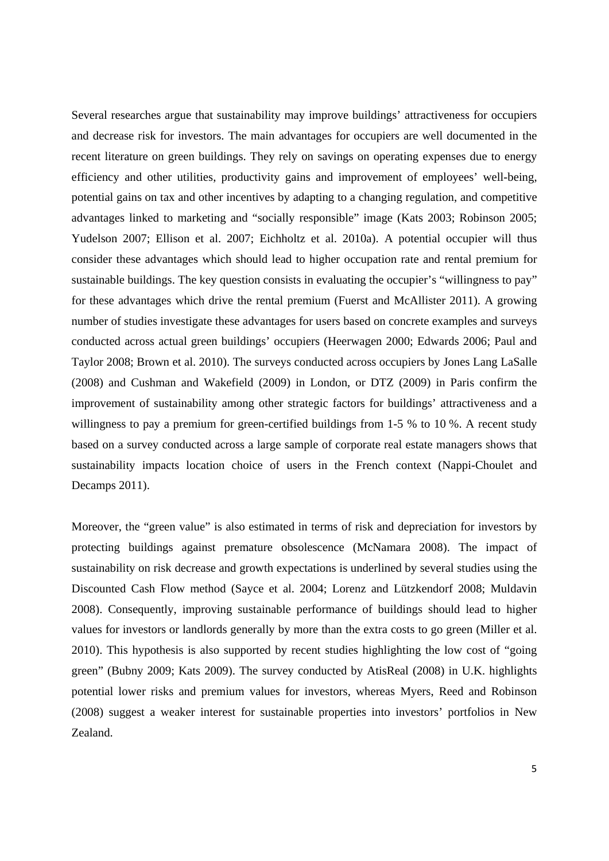Several researches argue that sustainability may improve buildings' attractiveness for occupiers and decrease risk for investors. The main advantages for occupiers are well documented in the recent literature on green buildings. They rely on savings on operating expenses due to energy efficiency and other utilities, productivity gains and improvement of employees' well-being, potential gains on tax and other incentives by adapting to a changing regulation, and competitive advantages linked to marketing and "socially responsible" image (Kats 2003; Robinson 2005; Yudelson 2007; Ellison et al. 2007; Eichholtz et al. 2010a). A potential occupier will thus consider these advantages which should lead to higher occupation rate and rental premium for sustainable buildings. The key question consists in evaluating the occupier's "willingness to pay" for these advantages which drive the rental premium (Fuerst and McAllister 2011). A growing number of studies investigate these advantages for users based on concrete examples and surveys conducted across actual green buildings' occupiers (Heerwagen 2000; Edwards 2006; Paul and Taylor 2008; Brown et al. 2010). The surveys conducted across occupiers by Jones Lang LaSalle (2008) and Cushman and Wakefield (2009) in London, or DTZ (2009) in Paris confirm the improvement of sustainability among other strategic factors for buildings' attractiveness and a willingness to pay a premium for green-certified buildings from 1-5 % to 10 %. A recent study based on a survey conducted across a large sample of corporate real estate managers shows that sustainability impacts location choice of users in the French context (Nappi-Choulet and Decamps 2011).

Moreover, the "green value" is also estimated in terms of risk and depreciation for investors by protecting buildings against premature obsolescence (McNamara 2008). The impact of sustainability on risk decrease and growth expectations is underlined by several studies using the Discounted Cash Flow method (Sayce et al. 2004; Lorenz and Lützkendorf 2008; Muldavin 2008). Consequently, improving sustainable performance of buildings should lead to higher values for investors or landlords generally by more than the extra costs to go green (Miller et al. 2010). This hypothesis is also supported by recent studies highlighting the low cost of "going green" (Bubny 2009; Kats 2009). The survey conducted by AtisReal (2008) in U.K. highlights potential lower risks and premium values for investors, whereas Myers, Reed and Robinson (2008) suggest a weaker interest for sustainable properties into investors' portfolios in New Zealand.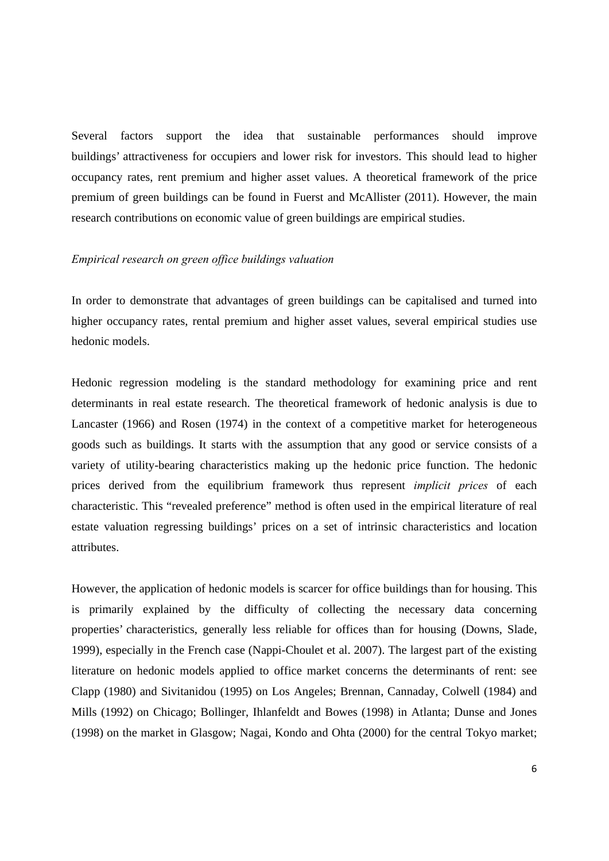Several factors support the idea that sustainable performances should improve buildings' attractiveness for occupiers and lower risk for investors. This should lead to higher occupancy rates, rent premium and higher asset values. A theoretical framework of the price premium of green buildings can be found in Fuerst and McAllister (2011). However, the main research contributions on economic value of green buildings are empirical studies.

#### *Empirical research on green office buildings valuation*

In order to demonstrate that advantages of green buildings can be capitalised and turned into higher occupancy rates, rental premium and higher asset values, several empirical studies use hedonic models.

Hedonic regression modeling is the standard methodology for examining price and rent determinants in real estate research. The theoretical framework of hedonic analysis is due to Lancaster (1966) and Rosen (1974) in the context of a competitive market for heterogeneous goods such as buildings. It starts with the assumption that any good or service consists of a variety of utility-bearing characteristics making up the hedonic price function. The hedonic prices derived from the equilibrium framework thus represent *implicit prices* of each characteristic. This "revealed preference" method is often used in the empirical literature of real estate valuation regressing buildings' prices on a set of intrinsic characteristics and location attributes.

However, the application of hedonic models is scarcer for office buildings than for housing. This is primarily explained by the difficulty of collecting the necessary data concerning properties' characteristics, generally less reliable for offices than for housing (Downs, Slade, 1999), especially in the French case (Nappi-Choulet et al. 2007). The largest part of the existing literature on hedonic models applied to office market concerns the determinants of rent: see Clapp (1980) and Sivitanidou (1995) on Los Angeles; Brennan, Cannaday, Colwell (1984) and Mills (1992) on Chicago; Bollinger, Ihlanfeldt and Bowes (1998) in Atlanta; Dunse and Jones (1998) on the market in Glasgow; Nagai, Kondo and Ohta (2000) for the central Tokyo market;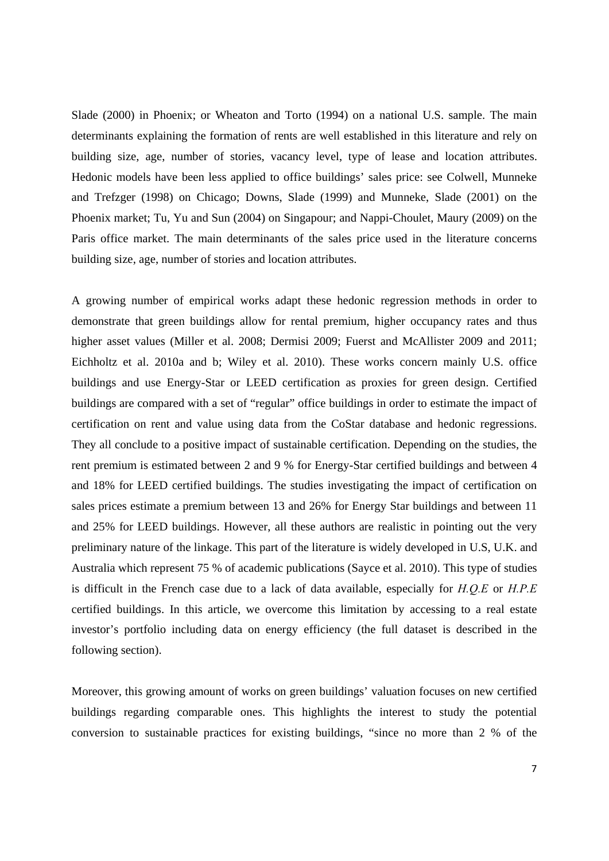Slade (2000) in Phoenix; or Wheaton and Torto (1994) on a national U.S. sample. The main determinants explaining the formation of rents are well established in this literature and rely on building size, age, number of stories, vacancy level, type of lease and location attributes. Hedonic models have been less applied to office buildings' sales price: see Colwell, Munneke and Trefzger (1998) on Chicago; Downs, Slade (1999) and Munneke, Slade (2001) on the Phoenix market; Tu, Yu and Sun (2004) on Singapour; and Nappi-Choulet, Maury (2009) on the Paris office market. The main determinants of the sales price used in the literature concerns building size, age, number of stories and location attributes.

A growing number of empirical works adapt these hedonic regression methods in order to demonstrate that green buildings allow for rental premium, higher occupancy rates and thus higher asset values (Miller et al. 2008; Dermisi 2009; Fuerst and McAllister 2009 and 2011; Eichholtz et al. 2010a and b; Wiley et al. 2010). These works concern mainly U.S. office buildings and use Energy-Star or LEED certification as proxies for green design. Certified buildings are compared with a set of "regular" office buildings in order to estimate the impact of certification on rent and value using data from the CoStar database and hedonic regressions. They all conclude to a positive impact of sustainable certification. Depending on the studies, the rent premium is estimated between 2 and 9 % for Energy-Star certified buildings and between 4 and 18% for LEED certified buildings. The studies investigating the impact of certification on sales prices estimate a premium between 13 and 26% for Energy Star buildings and between 11 and 25% for LEED buildings. However, all these authors are realistic in pointing out the very preliminary nature of the linkage. This part of the literature is widely developed in U.S, U.K. and Australia which represent 75 % of academic publications (Sayce et al. 2010). This type of studies is difficult in the French case due to a lack of data available, especially for *H.Q.E* or *H.P.E* certified buildings. In this article, we overcome this limitation by accessing to a real estate investor's portfolio including data on energy efficiency (the full dataset is described in the following section).

Moreover, this growing amount of works on green buildings' valuation focuses on new certified buildings regarding comparable ones. This highlights the interest to study the potential conversion to sustainable practices for existing buildings, "since no more than 2 % of the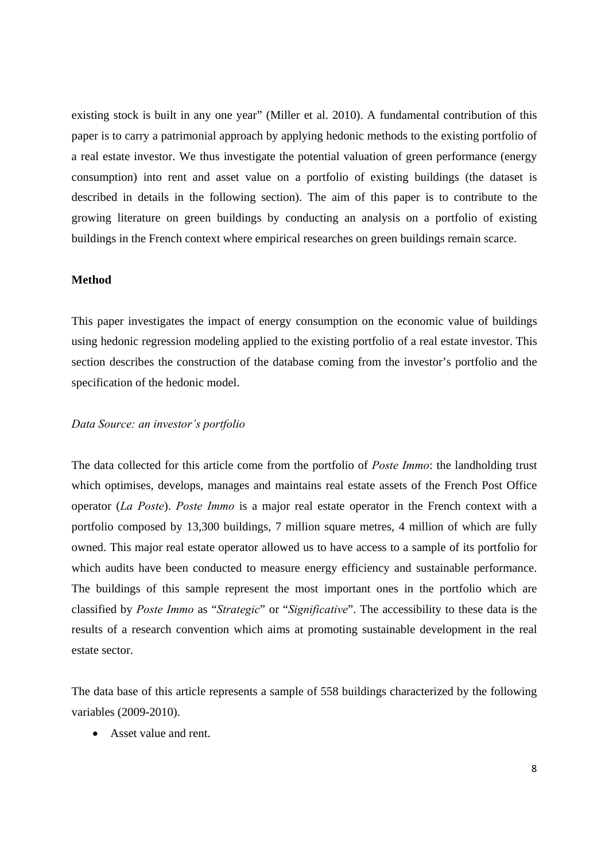existing stock is built in any one year" (Miller et al. 2010). A fundamental contribution of this paper is to carry a patrimonial approach by applying hedonic methods to the existing portfolio of a real estate investor. We thus investigate the potential valuation of green performance (energy consumption) into rent and asset value on a portfolio of existing buildings (the dataset is described in details in the following section). The aim of this paper is to contribute to the growing literature on green buildings by conducting an analysis on a portfolio of existing buildings in the French context where empirical researches on green buildings remain scarce.

#### **Method**

This paper investigates the impact of energy consumption on the economic value of buildings using hedonic regression modeling applied to the existing portfolio of a real estate investor. This section describes the construction of the database coming from the investor's portfolio and the specification of the hedonic model.

#### *Data Source: an investor's portfolio*

The data collected for this article come from the portfolio of *Poste Immo*: the landholding trust which optimises, develops, manages and maintains real estate assets of the French Post Office operator (*La Poste*). *Poste Immo* is a major real estate operator in the French context with a portfolio composed by 13,300 buildings, 7 million square metres, 4 million of which are fully owned. This major real estate operator allowed us to have access to a sample of its portfolio for which audits have been conducted to measure energy efficiency and sustainable performance. The buildings of this sample represent the most important ones in the portfolio which are classified by *Poste Immo* as "*Strategic*" or "*Significative*". The accessibility to these data is the results of a research convention which aims at promoting sustainable development in the real estate sector.

The data base of this article represents a sample of 558 buildings characterized by the following variables (2009-2010).

• Asset value and rent.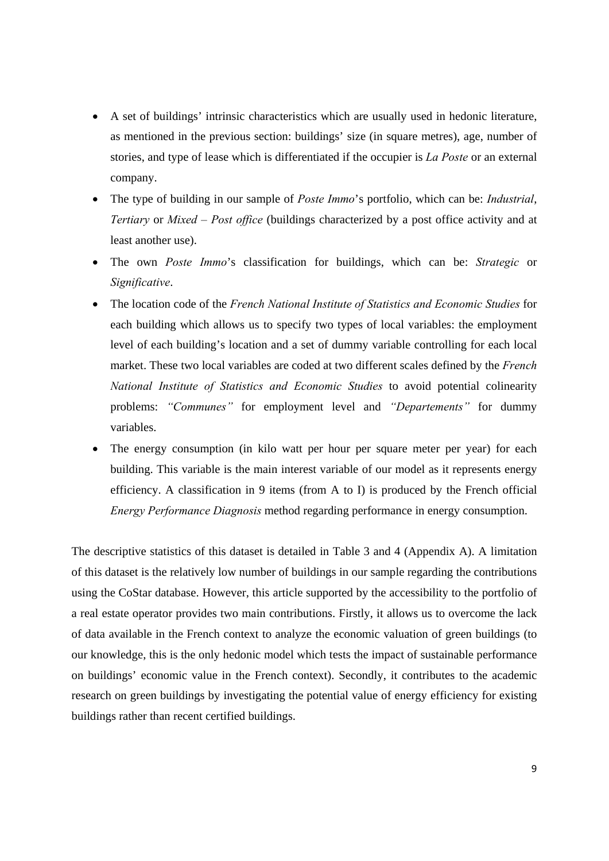- A set of buildings' intrinsic characteristics which are usually used in hedonic literature, as mentioned in the previous section: buildings' size (in square metres), age, number of stories, and type of lease which is differentiated if the occupier is *La Poste* or an external company.
- The type of building in our sample of *Poste Immo*'s portfolio, which can be: *Industrial*, *Tertiary* or *Mixed – Post office* (buildings characterized by a post office activity and at least another use).
- The own *Poste Immo*'s classification for buildings, which can be: *Strategic* or *Significative*.
- The location code of the *French National Institute of Statistics and Economic Studies* for each building which allows us to specify two types of local variables: the employment level of each building's location and a set of dummy variable controlling for each local market. These two local variables are coded at two different scales defined by the *French National Institute of Statistics and Economic Studies* to avoid potential colinearity problems: *"Communes"* for employment level and *"Departements"* for dummy variables.
- The energy consumption (in kilo watt per hour per square meter per year) for each building. This variable is the main interest variable of our model as it represents energy efficiency. A classification in 9 items (from A to I) is produced by the French official *Energy Performance Diagnosis* method regarding performance in energy consumption.

The descriptive statistics of this dataset is detailed in Table 3 and 4 (Appendix A). A limitation of this dataset is the relatively low number of buildings in our sample regarding the contributions using the CoStar database. However, this article supported by the accessibility to the portfolio of a real estate operator provides two main contributions. Firstly, it allows us to overcome the lack of data available in the French context to analyze the economic valuation of green buildings (to our knowledge, this is the only hedonic model which tests the impact of sustainable performance on buildings' economic value in the French context). Secondly, it contributes to the academic research on green buildings by investigating the potential value of energy efficiency for existing buildings rather than recent certified buildings.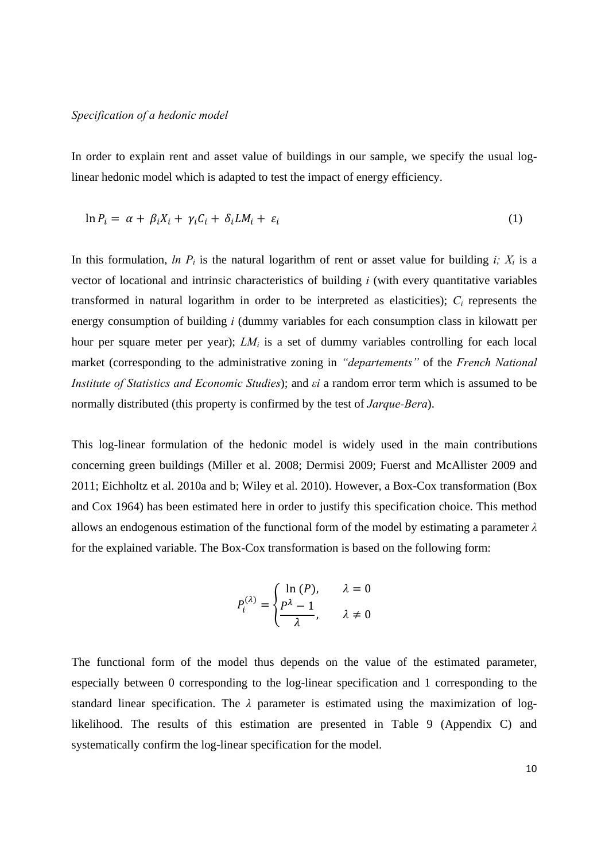#### *Specification of a hedonic model*

In order to explain rent and asset value of buildings in our sample, we specify the usual loglinear hedonic model which is adapted to test the impact of energy efficiency.

$$
\ln P_i = \alpha + \beta_i X_i + \gamma_i C_i + \delta_i L M_i + \varepsilon_i \tag{1}
$$

In this formulation, *ln P<sub>i</sub>* is the natural logarithm of rent or asset value for building *i*;  $X_i$  is a vector of locational and intrinsic characteristics of building *i* (with every quantitative variables transformed in natural logarithm in order to be interpreted as elasticities); *Ci* represents the energy consumption of building *i* (dummy variables for each consumption class in kilowatt per hour per square meter per year); *LM<sub>i</sub>* is a set of dummy variables controlling for each local market (corresponding to the administrative zoning in *"departements"* of the *French National Institute of Statistics and Economic Studies*); and *εi* a random error term which is assumed to be normally distributed (this property is confirmed by the test of *Jarque-Bera*).

This log-linear formulation of the hedonic model is widely used in the main contributions concerning green buildings (Miller et al. 2008; Dermisi 2009; Fuerst and McAllister 2009 and 2011; Eichholtz et al. 2010a and b; Wiley et al. 2010). However, a Box-Cox transformation (Box and Cox 1964) has been estimated here in order to justify this specification choice. This method allows an endogenous estimation of the functional form of the model by estimating a parameter *λ* for the explained variable. The Box-Cox transformation is based on the following form:

$$
P_i^{(\lambda)} = \begin{cases} \ln(P), & \lambda = 0\\ \frac{P^{\lambda} - 1}{\lambda}, & \lambda \neq 0 \end{cases}
$$

The functional form of the model thus depends on the value of the estimated parameter, especially between 0 corresponding to the log-linear specification and 1 corresponding to the standard linear specification. The *λ* parameter is estimated using the maximization of loglikelihood. The results of this estimation are presented in Table 9 (Appendix C) and systematically confirm the log-linear specification for the model.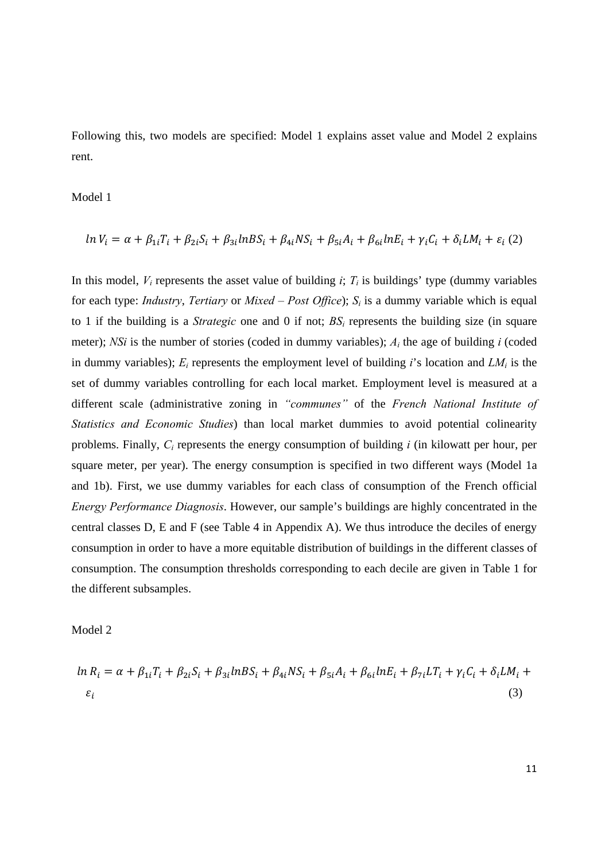Following this, two models are specified: Model 1 explains asset value and Model 2 explains rent.

Model 1

$$
ln V_i = \alpha + \beta_{1i} T_i + \beta_{2i} S_i + \beta_{3i} lnBS_i + \beta_{4i} NS_i + \beta_{5i} A_i + \beta_{6i} lnE_i + \gamma_i C_i + \delta_i LM_i + \varepsilon_i (2)
$$

In this model,  $V_i$  represents the asset value of building  $i$ ;  $T_i$  is buildings' type (dummy variables for each type: *Industry*, *Tertiary* or *Mixed – Post Office*); *Si* is a dummy variable which is equal to 1 if the building is a *Strategic* one and 0 if not;  $BS_i$  represents the building size (in square meter); *NSi* is the number of stories (coded in dummy variables); *Ai* the age of building *i* (coded in dummy variables);  $E_i$  represents the employment level of building *i*'s location and  $LM_i$  is the set of dummy variables controlling for each local market. Employment level is measured at a different scale (administrative zoning in *"communes"* of the *French National Institute of Statistics and Economic Studies*) than local market dummies to avoid potential colinearity problems. Finally, *Ci* represents the energy consumption of building *i* (in kilowatt per hour, per square meter, per year). The energy consumption is specified in two different ways (Model 1a and 1b). First, we use dummy variables for each class of consumption of the French official *Energy Performance Diagnosis*. However, our sample's buildings are highly concentrated in the central classes D, E and F (see Table 4 in Appendix A). We thus introduce the deciles of energy consumption in order to have a more equitable distribution of buildings in the different classes of consumption. The consumption thresholds corresponding to each decile are given in Table 1 for the different subsamples.

Model 2

$$
\ln R_i = \alpha + \beta_{1i} T_i + \beta_{2i} S_i + \beta_{3i} \ln BS_i + \beta_{4i} NS_i + \beta_{5i} A_i + \beta_{6i} \ln E_i + \beta_{7i} LT_i + \gamma_i C_i + \delta_i LM_i + \varepsilon_i
$$
\n(3)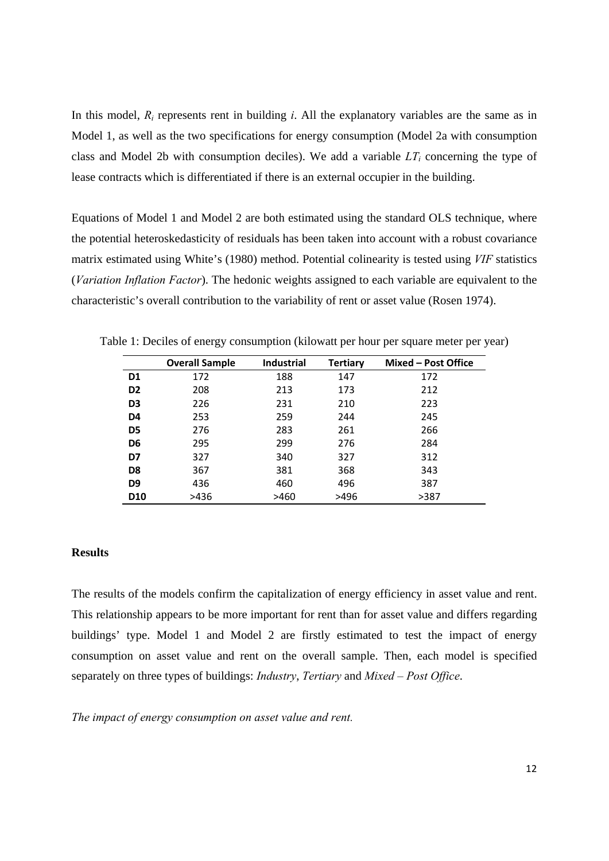In this model, *Ri* represents rent in building *i*. All the explanatory variables are the same as in Model 1, as well as the two specifications for energy consumption (Model 2a with consumption class and Model 2b with consumption deciles). We add a variable  $LT<sub>i</sub>$  concerning the type of lease contracts which is differentiated if there is an external occupier in the building.

Equations of Model 1 and Model 2 are both estimated using the standard OLS technique, where the potential heteroskedasticity of residuals has been taken into account with a robust covariance matrix estimated using White's (1980) method. Potential colinearity is tested using *VIF* statistics (*Variation Inflation Factor*). The hedonic weights assigned to each variable are equivalent to the characteristic's overall contribution to the variability of rent or asset value (Rosen 1974).

|                 | <b>Overall Sample</b> | <b>Industrial</b> | <b>Tertiary</b> | Mixed - Post Office |
|-----------------|-----------------------|-------------------|-----------------|---------------------|
| D1              | 172                   | 188               | 147             | 172                 |
| D <sub>2</sub>  | 208                   | 213               | 173             | 212                 |
| D <sub>3</sub>  | 226                   | 231               | 210             | 223                 |
| D <sub>4</sub>  | 253                   | 259               | 244             | 245                 |
| D <sub>5</sub>  | 276                   | 283               | 261             | 266                 |
| D6              | 295                   | 299               | 276             | 284                 |
| D7              | 327                   | 340               | 327             | 312                 |
| D <sub>8</sub>  | 367                   | 381               | 368             | 343                 |
| D <sub>9</sub>  | 436                   | 460               | 496             | 387                 |
| D <sub>10</sub> | >436                  | >460              | >496            | >387                |

Table 1: Deciles of energy consumption (kilowatt per hour per square meter per year)

#### **Results**

The results of the models confirm the capitalization of energy efficiency in asset value and rent. This relationship appears to be more important for rent than for asset value and differs regarding buildings' type. Model 1 and Model 2 are firstly estimated to test the impact of energy consumption on asset value and rent on the overall sample. Then, each model is specified separately on three types of buildings: *Industry*, *Tertiary* and *Mixed – Post Office*.

*The impact of energy consumption on asset value and rent.*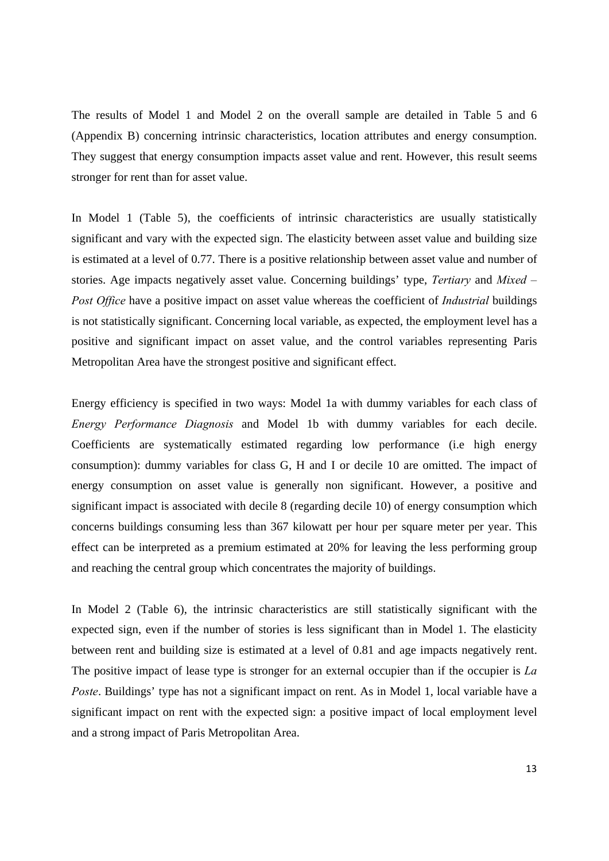The results of Model 1 and Model 2 on the overall sample are detailed in Table 5 and 6 (Appendix B) concerning intrinsic characteristics, location attributes and energy consumption. They suggest that energy consumption impacts asset value and rent. However, this result seems stronger for rent than for asset value.

In Model 1 (Table 5), the coefficients of intrinsic characteristics are usually statistically significant and vary with the expected sign. The elasticity between asset value and building size is estimated at a level of 0.77. There is a positive relationship between asset value and number of stories. Age impacts negatively asset value. Concerning buildings' type, *Tertiary* and *Mixed – Post Office* have a positive impact on asset value whereas the coefficient of *Industrial* buildings is not statistically significant. Concerning local variable, as expected, the employment level has a positive and significant impact on asset value, and the control variables representing Paris Metropolitan Area have the strongest positive and significant effect.

Energy efficiency is specified in two ways: Model 1a with dummy variables for each class of *Energy Performance Diagnosis* and Model 1b with dummy variables for each decile. Coefficients are systematically estimated regarding low performance (i.e high energy consumption): dummy variables for class G, H and I or decile 10 are omitted. The impact of energy consumption on asset value is generally non significant. However, a positive and significant impact is associated with decile 8 (regarding decile 10) of energy consumption which concerns buildings consuming less than 367 kilowatt per hour per square meter per year. This effect can be interpreted as a premium estimated at 20% for leaving the less performing group and reaching the central group which concentrates the majority of buildings.

In Model 2 (Table 6), the intrinsic characteristics are still statistically significant with the expected sign, even if the number of stories is less significant than in Model 1. The elasticity between rent and building size is estimated at a level of 0.81 and age impacts negatively rent. The positive impact of lease type is stronger for an external occupier than if the occupier is *La Poste*. Buildings' type has not a significant impact on rent. As in Model 1, local variable have a significant impact on rent with the expected sign: a positive impact of local employment level and a strong impact of Paris Metropolitan Area.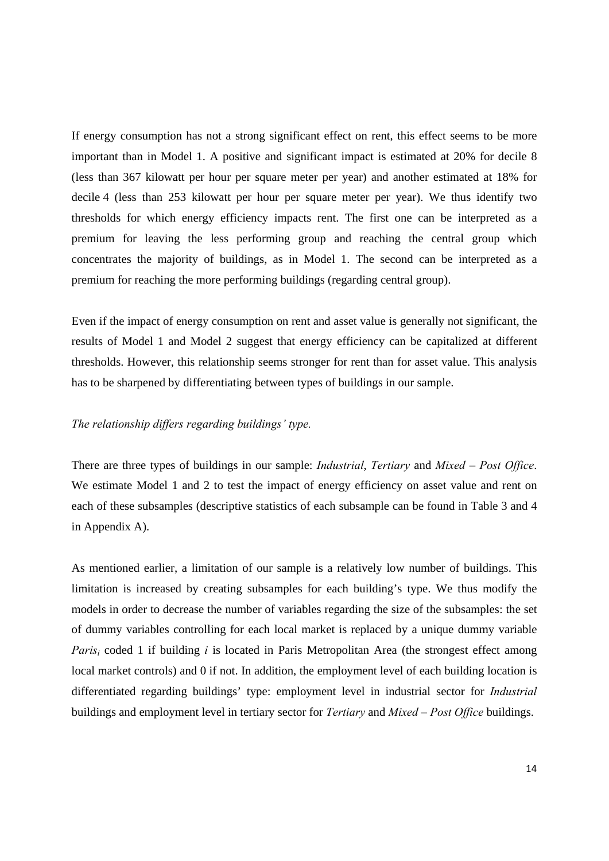If energy consumption has not a strong significant effect on rent, this effect seems to be more important than in Model 1. A positive and significant impact is estimated at 20% for decile 8 (less than 367 kilowatt per hour per square meter per year) and another estimated at 18% for decile 4 (less than 253 kilowatt per hour per square meter per year). We thus identify two thresholds for which energy efficiency impacts rent. The first one can be interpreted as a premium for leaving the less performing group and reaching the central group which concentrates the majority of buildings, as in Model 1. The second can be interpreted as a premium for reaching the more performing buildings (regarding central group).

Even if the impact of energy consumption on rent and asset value is generally not significant, the results of Model 1 and Model 2 suggest that energy efficiency can be capitalized at different thresholds. However, this relationship seems stronger for rent than for asset value. This analysis has to be sharpened by differentiating between types of buildings in our sample.

### *The relationship differs regarding buildings' type.*

There are three types of buildings in our sample: *Industrial*, *Tertiary* and *Mixed – Post Office*. We estimate Model 1 and 2 to test the impact of energy efficiency on asset value and rent on each of these subsamples (descriptive statistics of each subsample can be found in Table 3 and 4 in Appendix A).

As mentioned earlier, a limitation of our sample is a relatively low number of buildings. This limitation is increased by creating subsamples for each building's type. We thus modify the models in order to decrease the number of variables regarding the size of the subsamples: the set of dummy variables controlling for each local market is replaced by a unique dummy variable *Paris<sub>i</sub>* coded 1 if building *i* is located in Paris Metropolitan Area (the strongest effect among local market controls) and 0 if not. In addition, the employment level of each building location is differentiated regarding buildings' type: employment level in industrial sector for *Industrial* buildings and employment level in tertiary sector for *Tertiary* and *Mixed – Post Office* buildings.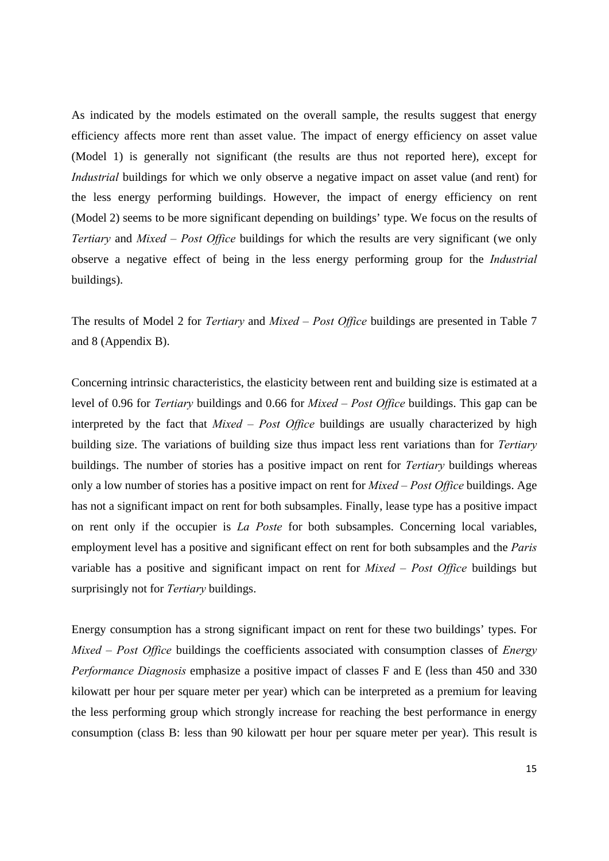As indicated by the models estimated on the overall sample, the results suggest that energy efficiency affects more rent than asset value. The impact of energy efficiency on asset value (Model 1) is generally not significant (the results are thus not reported here), except for *Industrial* buildings for which we only observe a negative impact on asset value (and rent) for the less energy performing buildings. However, the impact of energy efficiency on rent (Model 2) seems to be more significant depending on buildings' type. We focus on the results of *Tertiary* and *Mixed – Post Office* buildings for which the results are very significant (we only observe a negative effect of being in the less energy performing group for the *Industrial* buildings).

The results of Model 2 for *Tertiary* and *Mixed – Post Office* buildings are presented in Table 7 and 8 (Appendix B).

Concerning intrinsic characteristics, the elasticity between rent and building size is estimated at a level of 0.96 for *Tertiary* buildings and 0.66 for *Mixed – Post Office* buildings. This gap can be interpreted by the fact that *Mixed – Post Office* buildings are usually characterized by high building size. The variations of building size thus impact less rent variations than for *Tertiary* buildings. The number of stories has a positive impact on rent for *Tertiary* buildings whereas only a low number of stories has a positive impact on rent for *Mixed – Post Office* buildings. Age has not a significant impact on rent for both subsamples. Finally, lease type has a positive impact on rent only if the occupier is *La Poste* for both subsamples. Concerning local variables, employment level has a positive and significant effect on rent for both subsamples and the *Paris* variable has a positive and significant impact on rent for *Mixed – Post Office* buildings but surprisingly not for *Tertiary* buildings.

Energy consumption has a strong significant impact on rent for these two buildings' types. For *Mixed – Post Office* buildings the coefficients associated with consumption classes of *Energy Performance Diagnosis* emphasize a positive impact of classes F and E (less than 450 and 330 kilowatt per hour per square meter per year) which can be interpreted as a premium for leaving the less performing group which strongly increase for reaching the best performance in energy consumption (class B: less than 90 kilowatt per hour per square meter per year). This result is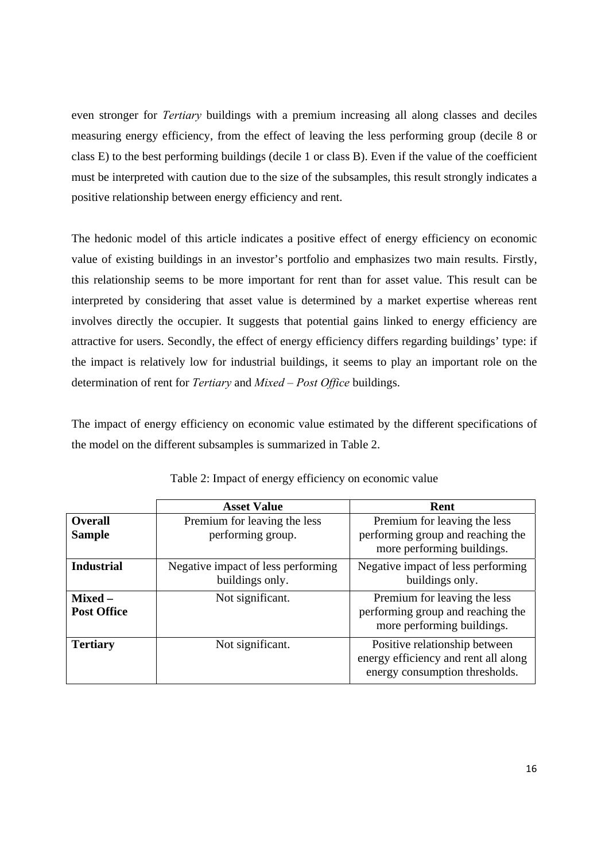even stronger for *Tertiary* buildings with a premium increasing all along classes and deciles measuring energy efficiency, from the effect of leaving the less performing group (decile 8 or class E) to the best performing buildings (decile 1 or class B). Even if the value of the coefficient must be interpreted with caution due to the size of the subsamples, this result strongly indicates a positive relationship between energy efficiency and rent.

The hedonic model of this article indicates a positive effect of energy efficiency on economic value of existing buildings in an investor's portfolio and emphasizes two main results. Firstly, this relationship seems to be more important for rent than for asset value. This result can be interpreted by considering that asset value is determined by a market expertise whereas rent involves directly the occupier. It suggests that potential gains linked to energy efficiency are attractive for users. Secondly, the effect of energy efficiency differs regarding buildings' type: if the impact is relatively low for industrial buildings, it seems to play an important role on the determination of rent for *Tertiary* and *Mixed – Post Office* buildings.

The impact of energy efficiency on economic value estimated by the different specifications of the model on the different subsamples is summarized in Table 2.

|                                 | <b>Asset Value</b>                                    | Rent                                                                                                    |
|---------------------------------|-------------------------------------------------------|---------------------------------------------------------------------------------------------------------|
| <b>Overall</b><br><b>Sample</b> | Premium for leaving the less<br>performing group.     | Premium for leaving the less<br>performing group and reaching the<br>more performing buildings.         |
| <b>Industrial</b>               | Negative impact of less performing<br>buildings only. | Negative impact of less performing<br>buildings only.                                                   |
| Mixed –<br><b>Post Office</b>   | Not significant.                                      | Premium for leaving the less<br>performing group and reaching the<br>more performing buildings.         |
| <b>Tertiary</b>                 | Not significant.                                      | Positive relationship between<br>energy efficiency and rent all along<br>energy consumption thresholds. |

Table 2: Impact of energy efficiency on economic value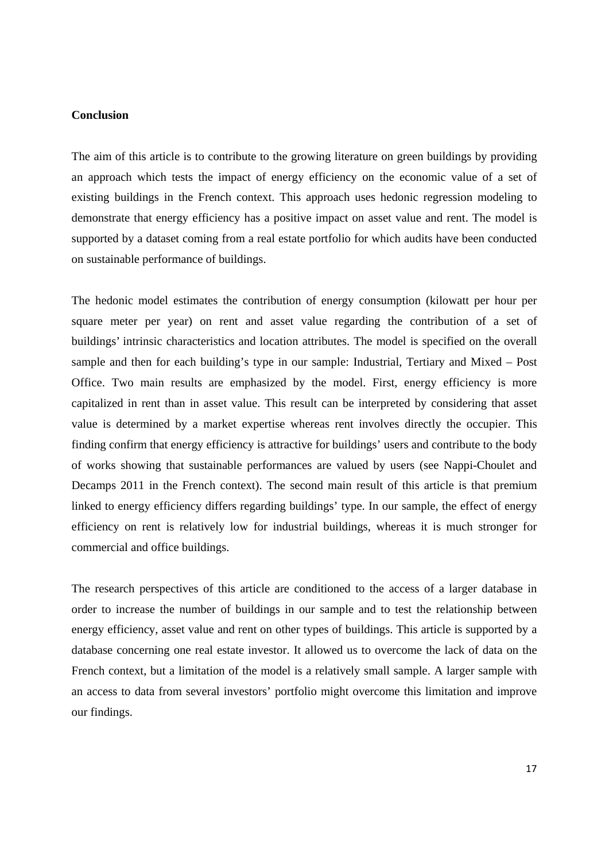#### **Conclusion**

The aim of this article is to contribute to the growing literature on green buildings by providing an approach which tests the impact of energy efficiency on the economic value of a set of existing buildings in the French context. This approach uses hedonic regression modeling to demonstrate that energy efficiency has a positive impact on asset value and rent. The model is supported by a dataset coming from a real estate portfolio for which audits have been conducted on sustainable performance of buildings.

The hedonic model estimates the contribution of energy consumption (kilowatt per hour per square meter per year) on rent and asset value regarding the contribution of a set of buildings' intrinsic characteristics and location attributes. The model is specified on the overall sample and then for each building's type in our sample: Industrial, Tertiary and Mixed – Post Office. Two main results are emphasized by the model. First, energy efficiency is more capitalized in rent than in asset value. This result can be interpreted by considering that asset value is determined by a market expertise whereas rent involves directly the occupier. This finding confirm that energy efficiency is attractive for buildings' users and contribute to the body of works showing that sustainable performances are valued by users (see Nappi-Choulet and Decamps 2011 in the French context). The second main result of this article is that premium linked to energy efficiency differs regarding buildings' type. In our sample, the effect of energy efficiency on rent is relatively low for industrial buildings, whereas it is much stronger for commercial and office buildings.

The research perspectives of this article are conditioned to the access of a larger database in order to increase the number of buildings in our sample and to test the relationship between energy efficiency, asset value and rent on other types of buildings. This article is supported by a database concerning one real estate investor. It allowed us to overcome the lack of data on the French context, but a limitation of the model is a relatively small sample. A larger sample with an access to data from several investors' portfolio might overcome this limitation and improve our findings.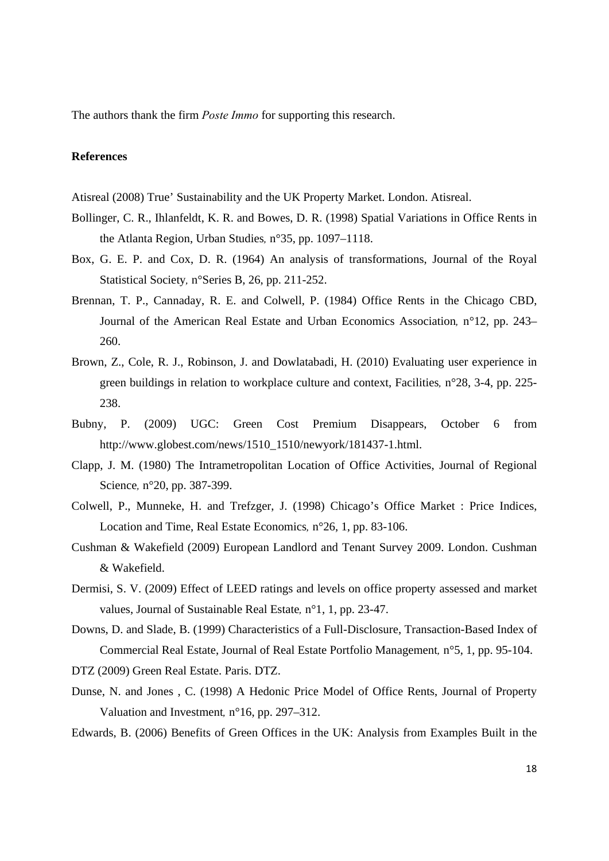The authors thank the firm *Poste Immo* for supporting this research.

#### **References**

Atisreal (2008) True' Sustainability and the UK Property Market. London. Atisreal.

- Bollinger, C. R., Ihlanfeldt, K. R. and Bowes, D. R. (1998) Spatial Variations in Office Rents in the Atlanta Region, Urban Studies*,* n°35, pp. 1097–1118.
- Box, G. E. P. and Cox, D. R. (1964) An analysis of transformations, Journal of the Royal Statistical Society*,* n°Series B, 26, pp. 211-252.
- Brennan, T. P., Cannaday, R. E. and Colwell, P. (1984) Office Rents in the Chicago CBD, Journal of the American Real Estate and Urban Economics Association*,* n°12, pp. 243– 260.
- Brown, Z., Cole, R. J., Robinson, J. and Dowlatabadi, H. (2010) Evaluating user experience in green buildings in relation to workplace culture and context, Facilities*,* n°28, 3-4, pp. 225- 238.
- Bubny, P. (2009) UGC: Green Cost Premium Disappears, October 6 from http://www.globest.com/news/1510\_1510/newyork/181437-1.html.
- Clapp, J. M. (1980) The Intrametropolitan Location of Office Activities, Journal of Regional Science*,* n°20, pp. 387-399.
- Colwell, P., Munneke, H. and Trefzger, J. (1998) Chicago's Office Market : Price Indices, Location and Time, Real Estate Economics*,* n°26, 1, pp. 83-106.
- Cushman & Wakefield (2009) European Landlord and Tenant Survey 2009. London. Cushman & Wakefield.
- Dermisi, S. V. (2009) Effect of LEED ratings and levels on office property assessed and market values, Journal of Sustainable Real Estate*,* n°1, 1, pp. 23-47.
- Downs, D. and Slade, B. (1999) Characteristics of a Full-Disclosure, Transaction-Based Index of Commercial Real Estate, Journal of Real Estate Portfolio Management*,* n°5, 1, pp. 95-104.

DTZ (2009) Green Real Estate. Paris. DTZ.

- Dunse, N. and Jones , C. (1998) A Hedonic Price Model of Office Rents, Journal of Property Valuation and Investment*,* n°16, pp. 297–312.
- Edwards, B. (2006) Benefits of Green Offices in the UK: Analysis from Examples Built in the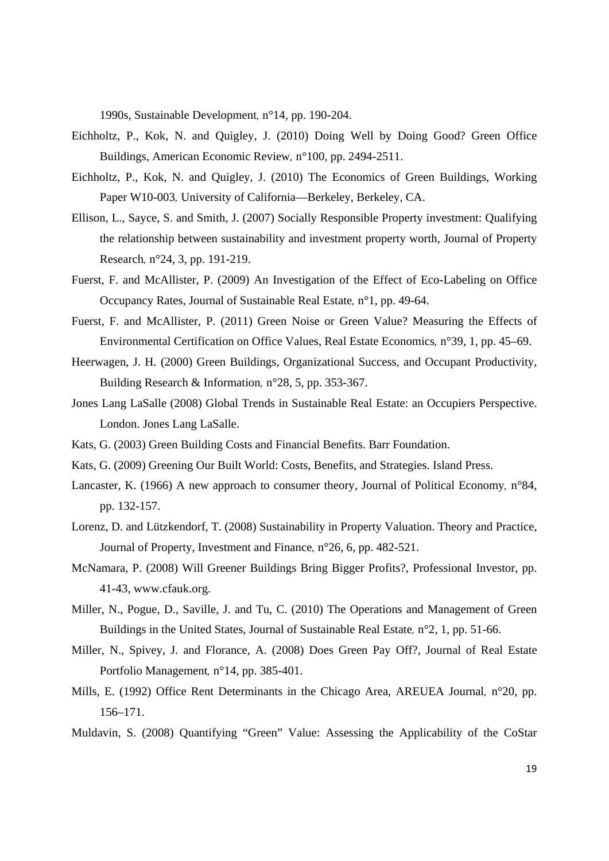1990s, Sustainable Development*,* n°14, pp. 190-204.

- Eichholtz, P., Kok, N. and Quigley, J. (2010) Doing Well by Doing Good? Green Office Buildings, American Economic Review*,* n°100, pp. 2494-2511.
- Eichholtz, P., Kok, N. and Quigley, J. (2010) The Economics of Green Buildings, Working Paper W10-003*,* University of California—Berkeley, Berkeley, CA.
- Ellison, L., Sayce, S. and Smith, J. (2007) Socially Responsible Property investment: Qualifying the relationship between sustainability and investment property worth, Journal of Property Research*,* n°24, 3, pp. 191-219.
- Fuerst, F. and McAllister, P. (2009) An Investigation of the Effect of Eco-Labeling on Office Occupancy Rates, Journal of Sustainable Real Estate*,* n°1, pp. 49-64.
- Fuerst, F. and McAllister, P. (2011) Green Noise or Green Value? Measuring the Effects of Environmental Certification on Office Values, Real Estate Economics*,* n°39, 1, pp. 45–69.
- Heerwagen, J. H. (2000) Green Buildings, Organizational Success, and Occupant Productivity, Building Research & Information*,* n°28, 5, pp. 353-367.
- Jones Lang LaSalle (2008) Global Trends in Sustainable Real Estate: an Occupiers Perspective. London. Jones Lang LaSalle.
- Kats, G. (2003) Green Building Costs and Financial Benefits. Barr Foundation.
- Kats, G. (2009) Greening Our Built World: Costs, Benefits, and Strategies. Island Press.
- Lancaster, K. (1966) A new approach to consumer theory, Journal of Political Economy*,* n°84, pp. 132-157.
- Lorenz, D. and Lützkendorf, T. (2008) Sustainability in Property Valuation. Theory and Practice, Journal of Property, Investment and Finance*,* n°26, 6, pp. 482-521.
- McNamara, P. (2008) Will Greener Buildings Bring Bigger Profits?, Professional Investor, pp. 41-43, www.cfauk.org.
- Miller, N., Pogue, D., Saville, J. and Tu, C. (2010) The Operations and Management of Green Buildings in the United States, Journal of Sustainable Real Estate*,* n°2, 1, pp. 51-66.
- Miller, N., Spivey, J. and Florance, A. (2008) Does Green Pay Off?, Journal of Real Estate Portfolio Management*,* n°14, pp. 385-401.
- Mills, E. (1992) Office Rent Determinants in the Chicago Area, AREUEA Journal*,* n°20, pp. 156–171.
- Muldavin, S. (2008) Quantifying "Green" Value: Assessing the Applicability of the CoStar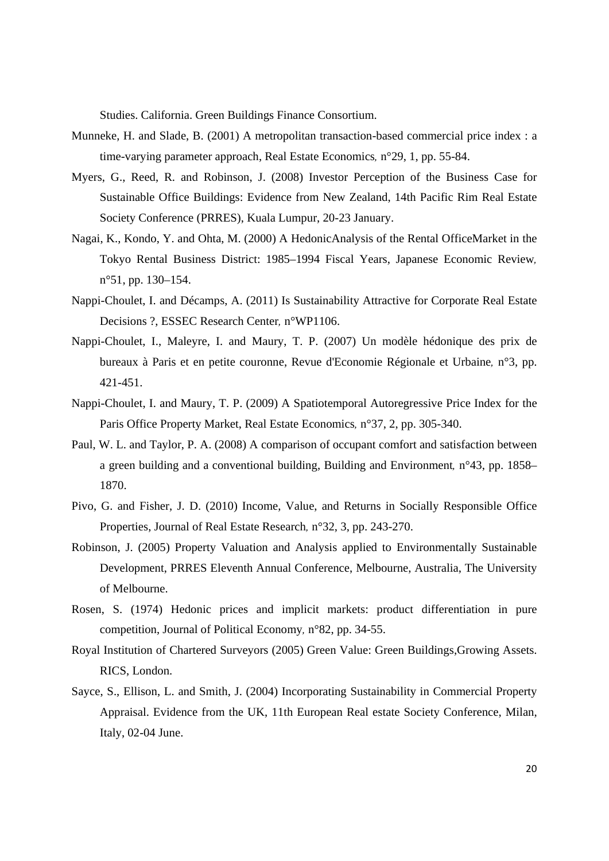Studies. California. Green Buildings Finance Consortium.

- Munneke, H. and Slade, B. (2001) A metropolitan transaction-based commercial price index : a time-varying parameter approach, Real Estate Economics*,* n°29, 1, pp. 55-84.
- Myers, G., Reed, R. and Robinson, J. (2008) Investor Perception of the Business Case for Sustainable Office Buildings: Evidence from New Zealand, 14th Pacific Rim Real Estate Society Conference (PRRES), Kuala Lumpur, 20-23 January.
- Nagai, K., Kondo, Y. and Ohta, M. (2000) A HedonicAnalysis of the Rental OfficeMarket in the Tokyo Rental Business District: 1985–1994 Fiscal Years, Japanese Economic Review*,*  n°51, pp. 130–154.
- Nappi-Choulet, I. and Décamps, A. (2011) Is Sustainability Attractive for Corporate Real Estate Decisions ?, ESSEC Research Center*,* n°WP1106.
- Nappi-Choulet, I., Maleyre, I. and Maury, T. P. (2007) Un modèle hédonique des prix de bureaux à Paris et en petite couronne, Revue d'Economie Régionale et Urbaine*,* n°3, pp. 421-451.
- Nappi-Choulet, I. and Maury, T. P. (2009) A Spatiotemporal Autoregressive Price Index for the Paris Office Property Market, Real Estate Economics*,* n°37, 2, pp. 305-340.
- Paul, W. L. and Taylor, P. A. (2008) A comparison of occupant comfort and satisfaction between a green building and a conventional building, Building and Environment*,* n°43, pp. 1858– 1870.
- Pivo, G. and Fisher, J. D. (2010) Income, Value, and Returns in Socially Responsible Office Properties, Journal of Real Estate Research*,* n°32, 3, pp. 243-270.
- Robinson, J. (2005) Property Valuation and Analysis applied to Environmentally Sustainable Development, PRRES Eleventh Annual Conference, Melbourne, Australia, The University of Melbourne.
- Rosen, S. (1974) Hedonic prices and implicit markets: product differentiation in pure competition, Journal of Political Economy*,* n°82, pp. 34-55.
- Royal Institution of Chartered Surveyors (2005) Green Value: Green Buildings,Growing Assets. RICS, London.
- Sayce, S., Ellison, L. and Smith, J. (2004) Incorporating Sustainability in Commercial Property Appraisal. Evidence from the UK, 11th European Real estate Society Conference, Milan, Italy, 02-04 June.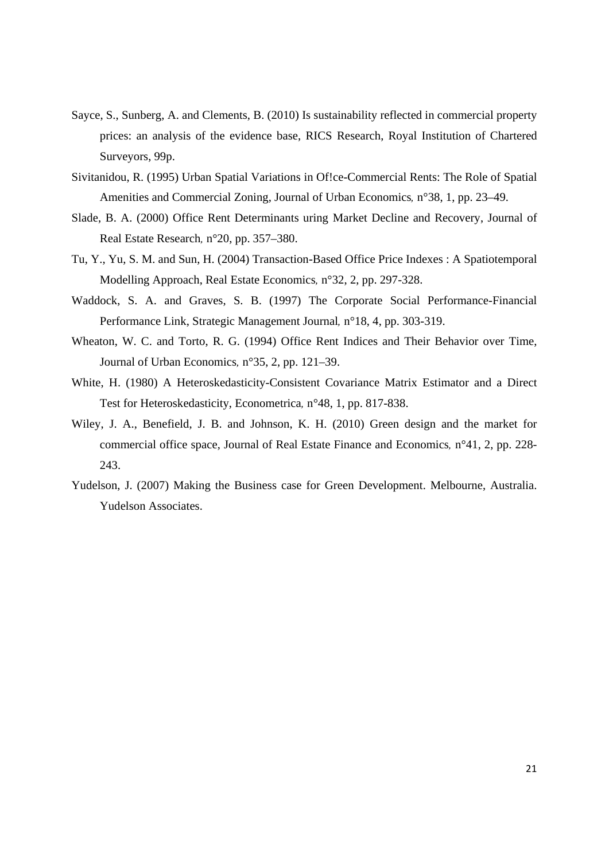- Sayce, S., Sunberg, A. and Clements, B. (2010) Is sustainability reflected in commercial property prices: an analysis of the evidence base, RICS Research, Royal Institution of Chartered Surveyors, 99p.
- Sivitanidou, R. (1995) Urban Spatial Variations in Of!ce-Commercial Rents: The Role of Spatial Amenities and Commercial Zoning, Journal of Urban Economics*,* n°38, 1, pp. 23–49.
- Slade, B. A. (2000) Office Rent Determinants uring Market Decline and Recovery, Journal of Real Estate Research*,* n°20, pp. 357–380.
- Tu, Y., Yu, S. M. and Sun, H. (2004) Transaction-Based Office Price Indexes : A Spatiotemporal Modelling Approach, Real Estate Economics*,* n°32, 2, pp. 297-328.
- Waddock, S. A. and Graves, S. B. (1997) The Corporate Social Performance-Financial Performance Link, Strategic Management Journal*,* n°18, 4, pp. 303-319.
- Wheaton, W. C. and Torto, R. G. (1994) Office Rent Indices and Their Behavior over Time, Journal of Urban Economics*,* n°35, 2, pp. 121–39.
- White, H. (1980) A Heteroskedasticity-Consistent Covariance Matrix Estimator and a Direct Test for Heteroskedasticity, Econometrica*,* n°48, 1, pp. 817-838.
- Wiley, J. A., Benefield, J. B. and Johnson, K. H. (2010) Green design and the market for commercial office space, Journal of Real Estate Finance and Economics*,* n°41, 2, pp. 228- 243.
- Yudelson, J. (2007) Making the Business case for Green Development. Melbourne, Australia. Yudelson Associates.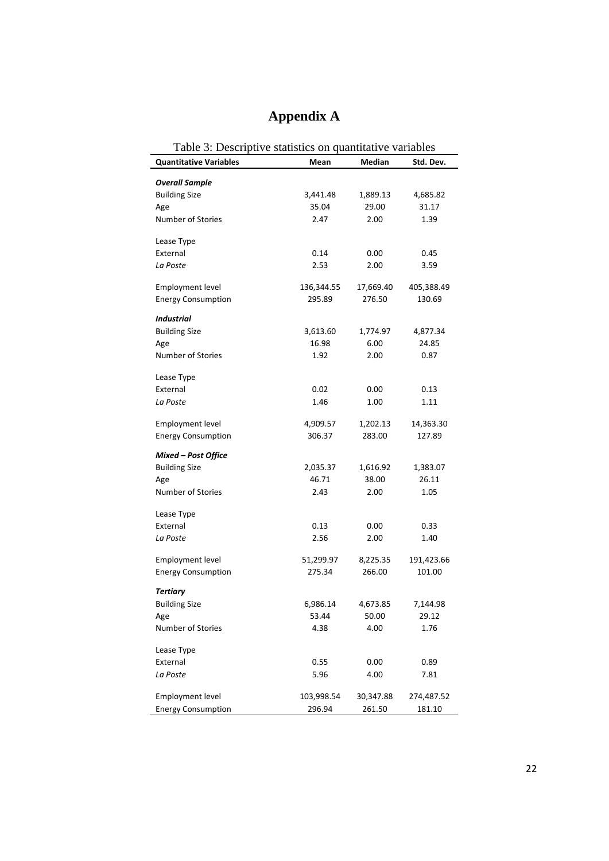# **Appendix A**

| Table 3: Descriptive statistics on quantitative variables |            |               |            |  |  |  |
|-----------------------------------------------------------|------------|---------------|------------|--|--|--|
| <b>Quantitative Variables</b>                             | Mean       | <b>Median</b> | Std. Dev.  |  |  |  |
|                                                           |            |               |            |  |  |  |
| <b>Overall Sample</b><br><b>Building Size</b>             | 3,441.48   | 1,889.13      | 4,685.82   |  |  |  |
| Age                                                       | 35.04      | 29.00         | 31.17      |  |  |  |
| Number of Stories                                         | 2.47       | 2.00          | 1.39       |  |  |  |
|                                                           |            |               |            |  |  |  |
| Lease Type                                                |            |               |            |  |  |  |
| External                                                  | 0.14       | 0.00          | 0.45       |  |  |  |
| La Poste                                                  | 2.53       | 2.00          | 3.59       |  |  |  |
| <b>Employment level</b>                                   | 136,344.55 | 17,669.40     | 405,388.49 |  |  |  |
| <b>Energy Consumption</b>                                 | 295.89     | 276.50        | 130.69     |  |  |  |
| <b>Industrial</b>                                         |            |               |            |  |  |  |
| <b>Building Size</b>                                      | 3,613.60   | 1,774.97      | 4,877.34   |  |  |  |
| Age                                                       | 16.98      | 6.00          | 24.85      |  |  |  |
| <b>Number of Stories</b>                                  | 1.92       | 2.00          | 0.87       |  |  |  |
|                                                           |            |               |            |  |  |  |
| Lease Type                                                |            |               |            |  |  |  |
| External                                                  | 0.02       | 0.00          | 0.13       |  |  |  |
| La Poste                                                  | 1.46       | 1.00          | 1.11       |  |  |  |
| <b>Employment level</b>                                   | 4,909.57   | 1,202.13      | 14,363.30  |  |  |  |
| <b>Energy Consumption</b>                                 | 306.37     | 283.00        | 127.89     |  |  |  |
|                                                           |            |               |            |  |  |  |
| Mixed - Post Office                                       |            |               |            |  |  |  |
| <b>Building Size</b>                                      | 2,035.37   | 1,616.92      | 1,383.07   |  |  |  |
| Age                                                       | 46.71      | 38.00         | 26.11      |  |  |  |
| Number of Stories                                         | 2.43       | 2.00          | 1.05       |  |  |  |
| Lease Type                                                |            |               |            |  |  |  |
| External                                                  | 0.13       | 0.00          | 0.33       |  |  |  |
| La Poste                                                  | 2.56       | 2.00          | 1.40       |  |  |  |
|                                                           |            |               |            |  |  |  |
| <b>Employment level</b>                                   | 51,299.97  | 8,225.35      | 191,423.66 |  |  |  |
| <b>Energy Consumption</b>                                 | 275.34     | 266.00        | 101.00     |  |  |  |
| <b>Tertiary</b>                                           |            |               |            |  |  |  |
| <b>Building Size</b>                                      | 6,986.14   | 4,673.85      | 7,144.98   |  |  |  |
| Age                                                       | 53.44      | 50.00         | 29.12      |  |  |  |
| Number of Stories                                         | 4.38       | 4.00          | 1.76       |  |  |  |
|                                                           |            |               |            |  |  |  |
| Lease Type                                                |            |               |            |  |  |  |
| External                                                  | 0.55       | 0.00          | 0.89       |  |  |  |
| La Poste                                                  | 5.96       | 4.00          | 7.81       |  |  |  |
| <b>Employment level</b>                                   | 103,998.54 | 30,347.88     | 274,487.52 |  |  |  |
| <b>Energy Consumption</b>                                 | 296.94     | 261.50        | 181.10     |  |  |  |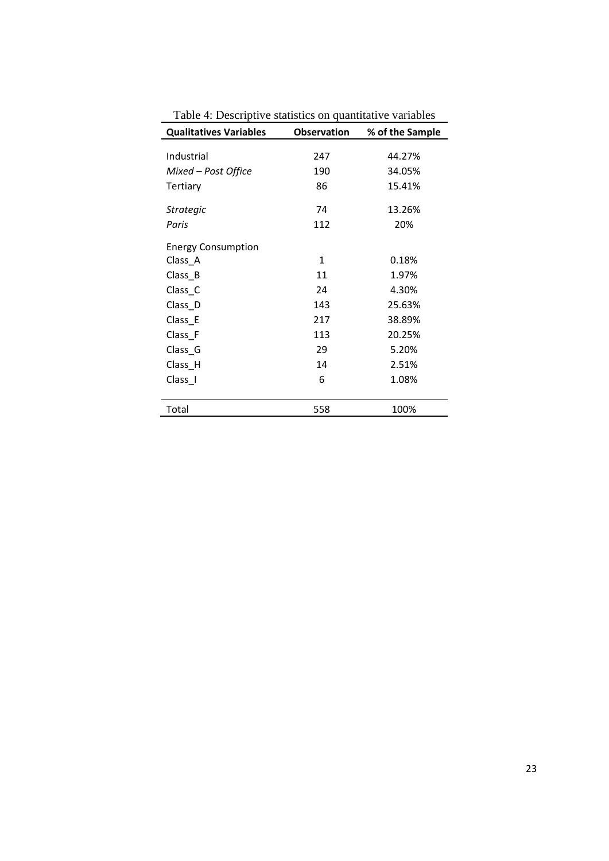| <b>Qualitatives Variables</b> | <b>Observation</b> | % of the Sample |
|-------------------------------|--------------------|-----------------|
|                               |                    |                 |
| Industrial                    | 247                | 44.27%          |
| Mixed – Post Office           | 190                | 34.05%          |
| Tertiary                      | 86                 | 15.41%          |
| <b>Strategic</b>              | 74                 | 13.26%          |
| Paris                         | 112                | 20%             |
| <b>Energy Consumption</b>     |                    |                 |
| Class_A                       | 1                  | 0.18%           |
| Class_B                       | 11                 | 1.97%           |
| Class_C                       | 24                 | 4.30%           |
| Class_D                       | 143                | 25.63%          |
| Class_E                       | 217                | 38.89%          |
| Class_F                       | 113                | 20.25%          |
| Class_G                       | 29                 | 5.20%           |
| Class_H                       | 14                 | 2.51%           |
| Class I                       | 6                  | 1.08%           |
| Total                         | 558                | 100%            |

Table 4: Descriptive statistics on quantitative variables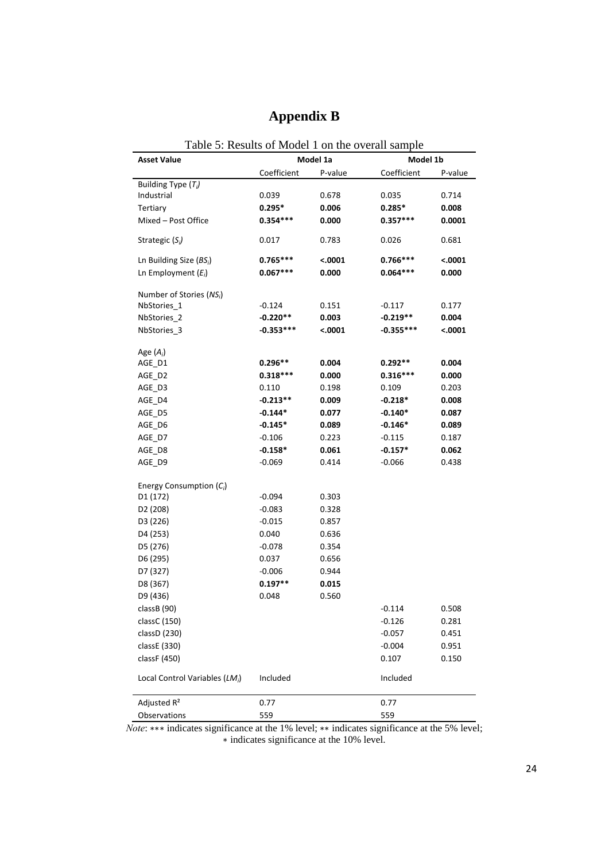| Table 5: Results of Model 1 on the overall sample |             |          |             |         |  |  |
|---------------------------------------------------|-------------|----------|-------------|---------|--|--|
| <b>Asset Value</b>                                |             | Model 1a | Model 1b    |         |  |  |
|                                                   | Coefficient | P-value  | Coefficient | P-value |  |  |
| Building Type $(T_i)$                             |             |          |             |         |  |  |
| Industrial                                        | 0.039       | 0.678    | 0.035       | 0.714   |  |  |
| <b>Tertiary</b>                                   | $0.295*$    | 0.006    | $0.285*$    | 0.008   |  |  |
| Mixed - Post Office                               | $0.354***$  | 0.000    | $0.357***$  | 0.0001  |  |  |
| Strategic $(S_i)$                                 | 0.017       | 0.783    | 0.026       | 0.681   |  |  |
| Ln Building Size $(BS_i)$                         | $0.765***$  | < .0001  | $0.766***$  | < .0001 |  |  |
| Ln Employment $(E_i)$                             | $0.067***$  | 0.000    | $0.064***$  | 0.000   |  |  |
| Number of Stories ( $NS_i$ )                      |             |          |             |         |  |  |
| NbStories <sub>1</sub>                            | $-0.124$    | 0.151    | $-0.117$    | 0.177   |  |  |
| NbStories <sub>2</sub>                            | $-0.220**$  | 0.003    | $-0.219**$  | 0.004   |  |  |
| NbStories 3                                       | $-0.353***$ | <.0001   | $-0.355***$ | <.0001  |  |  |
| Age $(A_i)$                                       |             |          |             |         |  |  |
| AGE_D1                                            | $0.296**$   | 0.004    | $0.292**$   | 0.004   |  |  |
| AGE D2                                            | $0.318***$  | 0.000    | $0.316***$  | 0.000   |  |  |
| AGE D3                                            | 0.110       | 0.198    | 0.109       | 0.203   |  |  |
| AGE D4                                            | $-0.213**$  | 0.009    | $-0.218*$   | 0.008   |  |  |
| AGE_D5                                            | $-0.144*$   | 0.077    | $-0.140*$   | 0.087   |  |  |
| AGE D6                                            | $-0.145*$   | 0.089    | $-0.146*$   | 0.089   |  |  |
| AGE_D7                                            | $-0.106$    | 0.223    | $-0.115$    | 0.187   |  |  |
| AGE_D8                                            | $-0.158*$   | 0.061    | $-0.157*$   | 0.062   |  |  |
| AGE_D9                                            | $-0.069$    | 0.414    | $-0.066$    | 0.438   |  |  |
| Energy Consumption $(C_i)$                        |             |          |             |         |  |  |
| D1 (172)                                          | $-0.094$    | 0.303    |             |         |  |  |
| D <sub>2</sub> (208)                              | $-0.083$    | 0.328    |             |         |  |  |
| D3 (226)                                          | $-0.015$    | 0.857    |             |         |  |  |
| D4 (253)                                          | 0.040       | 0.636    |             |         |  |  |
| D5 (276)                                          | $-0.078$    | 0.354    |             |         |  |  |
| D6 (295)                                          | 0.037       | 0.656    |             |         |  |  |
| D7 (327)                                          | $-0.006$    | 0.944    |             |         |  |  |
| D8 (367)                                          | $0.197**$   | 0.015    |             |         |  |  |
| D9 (436)                                          | 0.048       | 0.560    |             |         |  |  |
| classB (90)                                       |             |          | $-0.114$    | 0.508   |  |  |
| classC (150)                                      |             |          | $-0.126$    | 0.281   |  |  |
| classD (230)                                      |             |          | $-0.057$    | 0.451   |  |  |
| classE (330)                                      |             |          | $-0.004$    | 0.951   |  |  |
| classF (450)                                      |             |          | 0.107       | 0.150   |  |  |
|                                                   |             |          |             |         |  |  |
| Local Control Variables (LM <sub>i</sub> )        | Included    |          | Included    |         |  |  |
| Adjusted R <sup>2</sup>                           | 0.77        |          | 0.77        |         |  |  |
| Observations                                      | 559         |          | 559         |         |  |  |

### **Appendix B**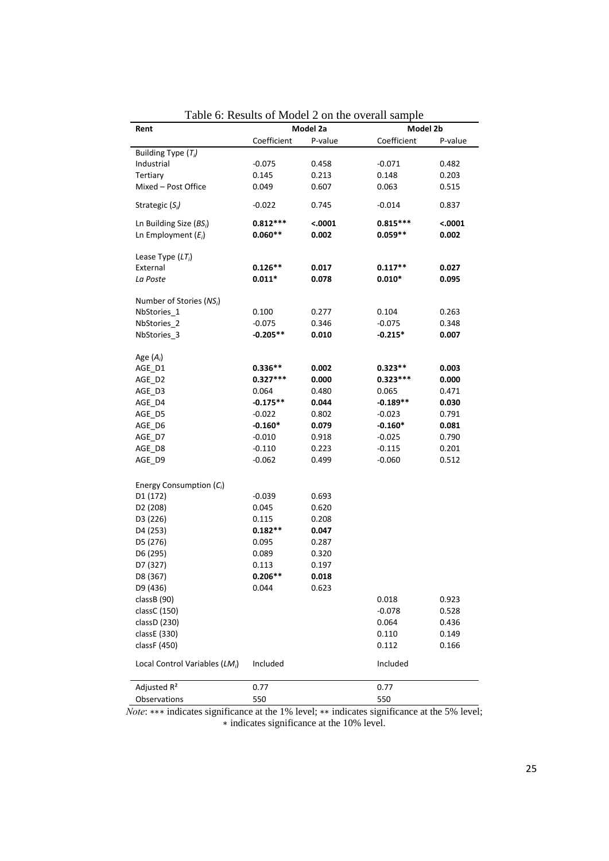| Model 2a<br>Model 2b<br>Rent                |                        |         |             |         |  |  |
|---------------------------------------------|------------------------|---------|-------------|---------|--|--|
|                                             | Coefficient<br>P-value |         | Coefficient | P-value |  |  |
| Building Type (T <sub>i</sub> )             |                        |         |             |         |  |  |
| Industrial                                  | $-0.075$               | 0.458   | $-0.071$    | 0.482   |  |  |
| Tertiary                                    | 0.145                  | 0.213   | 0.148       | 0.203   |  |  |
| Mixed - Post Office                         | 0.049                  | 0.607   | 0.063       | 0.515   |  |  |
|                                             |                        |         |             |         |  |  |
| Strategic (S <sub>i</sub> )                 | $-0.022$               | 0.745   | $-0.014$    | 0.837   |  |  |
| Ln Building Size $(BS_i)$                   | $0.812***$             | < .0001 | $0.815***$  | 0.0001  |  |  |
| Ln Employment $(E_i)$                       | $0.060**$              | 0.002   | $0.059**$   | 0.002   |  |  |
|                                             |                        |         |             |         |  |  |
| Lease Type $(LT_i)$                         |                        |         |             |         |  |  |
| External                                    | $0.126**$              | 0.017   | $0.117**$   | 0.027   |  |  |
| La Poste                                    | $0.011*$               | 0.078   | $0.010*$    | 0.095   |  |  |
|                                             |                        |         |             |         |  |  |
| Number of Stories ( $NS_i$ )<br>NbStories_1 | 0.100                  | 0.277   | 0.104       | 0.263   |  |  |
| NbStories <sub>2</sub>                      | $-0.075$               | 0.346   | $-0.075$    | 0.348   |  |  |
| NbStories_3                                 | $-0.205**$             | 0.010   | $-0.215*$   | 0.007   |  |  |
|                                             |                        |         |             |         |  |  |
| Age $(A_i)$                                 |                        |         |             |         |  |  |
| AGE_D1                                      | $0.336**$              | 0.002   | $0.323**$   | 0.003   |  |  |
| AGE D2                                      | $0.327***$             | 0.000   | $0.323***$  | 0.000   |  |  |
| AGE D3                                      | 0.064                  | 0.480   | 0.065       | 0.471   |  |  |
| AGE D4                                      | $-0.175**$             | 0.044   | $-0.189**$  | 0.030   |  |  |
| AGE_D5                                      | $-0.022$               | 0.802   | $-0.023$    | 0.791   |  |  |
| AGE D6                                      | $-0.160*$              | 0.079   | $-0.160*$   | 0.081   |  |  |
| AGE_D7                                      | $-0.010$               | 0.918   | $-0.025$    | 0.790   |  |  |
| AGE D8                                      | $-0.110$               | 0.223   | $-0.115$    | 0.201   |  |  |
| AGE_D9                                      | $-0.062$               | 0.499   | $-0.060$    | 0.512   |  |  |
|                                             |                        |         |             |         |  |  |
| Energy Consumption $(C_i)$                  |                        |         |             |         |  |  |
| D <sub>1</sub> (172)                        | $-0.039$               | 0.693   |             |         |  |  |
| D <sub>2</sub> (208)                        | 0.045                  | 0.620   |             |         |  |  |
| D3 (226)                                    | 0.115                  | 0.208   |             |         |  |  |
| D4 (253)                                    | $0.182**$              | 0.047   |             |         |  |  |
| D5 (276)                                    | 0.095                  | 0.287   |             |         |  |  |
| D6 (295)                                    | 0.089                  | 0.320   |             |         |  |  |
| D7 (327)                                    | 0.113                  | 0.197   |             |         |  |  |
| D8 (367)                                    | $0.206**$              | 0.018   |             |         |  |  |
| D9 (436)                                    | 0.044                  | 0.623   |             |         |  |  |
| classB (90)                                 |                        |         | 0.018       | 0.923   |  |  |
| classC (150)                                |                        |         | $-0.078$    | 0.528   |  |  |
| classD (230)                                |                        |         | 0.064       | 0.436   |  |  |
| classE (330)                                |                        |         | 0.110       | 0.149   |  |  |
| classF (450)                                |                        |         | 0.112       | 0.166   |  |  |
|                                             |                        |         |             |         |  |  |
| Local Control Variables (LM <sub>i</sub> )  | Included               |         | Included    |         |  |  |
|                                             |                        |         |             |         |  |  |
| Adjusted R <sup>2</sup>                     | 0.77                   |         | 0.77        |         |  |  |
| Observations                                | 550                    |         | 550         |         |  |  |

Table 6: Results of Model 2 on the overall sample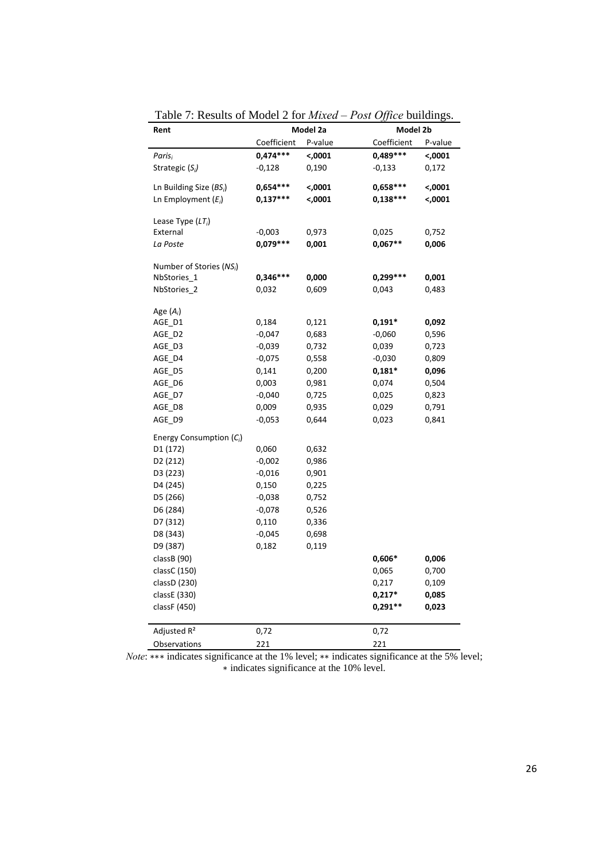| Rent                         |             | Model 2a | Model 2b    |         |  |
|------------------------------|-------------|----------|-------------|---------|--|
|                              | Coefficient | P-value  | Coefficient | P-value |  |
| Paris <sub>i</sub>           | $0,474***$  | $70001$  | 0,489 ***   | <,0001  |  |
| Strategic $(S_i)$            | $-0,128$    | 0,190    | $-0,133$    | 0,172   |  |
| Ln Building Size $(BS_i)$    | $0,654***$  | <,0001   | $0,658***$  | $70001$ |  |
| Ln Employment $(E_i)$        | $0,137***$  | <,0001   | $0,138***$  | $0001$  |  |
| Lease Type $(LT_i)$          |             |          |             |         |  |
| External                     | $-0,003$    | 0,973    | 0,025       | 0,752   |  |
| La Poste                     | $0,079***$  | 0,001    | $0,067**$   | 0,006   |  |
| Number of Stories ( $NS_i$ ) |             |          |             |         |  |
| NbStories_1                  | $0,346***$  | 0,000    | $0,299***$  | 0,001   |  |
| NbStories 2                  | 0,032       | 0,609    | 0,043       | 0,483   |  |
| Age $(A_i)$                  |             |          |             |         |  |
| AGE_D1                       | 0,184       | 0,121    | 0,191*      | 0,092   |  |
| AGE_D2                       | $-0,047$    | 0,683    | $-0,060$    | 0,596   |  |
| AGE D3                       | $-0,039$    | 0,732    | 0,039       | 0,723   |  |
| AGE D4                       | $-0,075$    | 0,558    | $-0,030$    | 0,809   |  |
| AGE D5                       | 0,141       | 0,200    | $0,181*$    | 0,096   |  |
| AGE D6                       | 0,003       | 0,981    | 0,074       | 0,504   |  |
| AGE_D7                       | $-0,040$    | 0,725    | 0,025       | 0,823   |  |
| AGE_D8                       | 0,009       | 0,935    | 0,029       | 0,791   |  |
| AGE D9                       | $-0,053$    | 0,644    | 0,023       | 0,841   |  |
| Energy Consumption $(C_i)$   |             |          |             |         |  |
| D1 (172)                     | 0,060       | 0,632    |             |         |  |
| D <sub>2</sub> (212)         | $-0,002$    | 0,986    |             |         |  |
| D3 (223)                     | $-0,016$    | 0,901    |             |         |  |
| D4 (245)                     | 0,150       | 0,225    |             |         |  |
| D5 (266)                     | $-0,038$    | 0,752    |             |         |  |
| D6 (284)                     | $-0,078$    | 0,526    |             |         |  |
| D7 (312)                     | 0,110       | 0,336    |             |         |  |
| D8 (343)                     | $-0,045$    | 0,698    |             |         |  |
| D9 (387)                     | 0,182       | 0,119    |             |         |  |
| classB (90)                  |             |          | 0,606*      | 0,006   |  |
| classC (150)                 |             |          | 0,065       | 0,700   |  |
| classD (230)                 |             |          | 0,217       | 0,109   |  |
| classE (330)                 |             |          | 0,217*      | 0,085   |  |
| classF (450)                 |             |          | 0,291**     | 0,023   |  |
| Adjusted R <sup>2</sup>      | 0,72        |          | 0,72        |         |  |
| Observations                 | 221         |          | 221         |         |  |

Table 7: Results of Model 2 for *Mixed – Post Office* buildings.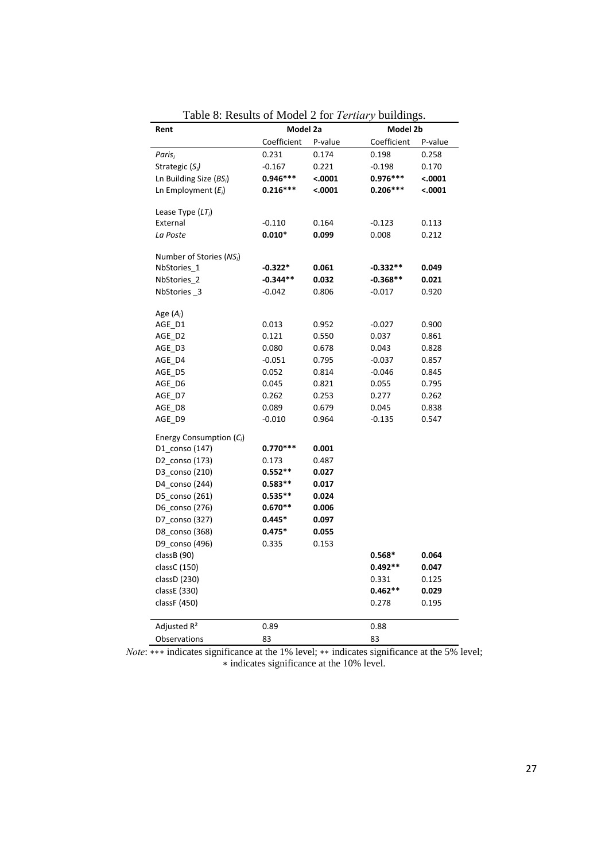| Rent                                 |             | Model 2a |             | Model 2b |  |  |
|--------------------------------------|-------------|----------|-------------|----------|--|--|
|                                      | Coefficient | P-value  | Coefficient | P-value  |  |  |
| Paris <sub>i</sub>                   | 0.231       | 0.174    | 0.198       | 0.258    |  |  |
| Strategic $(S_i)$                    | $-0.167$    | 0.221    | $-0.198$    | 0.170    |  |  |
| Ln Building Size $(BS_i)$            | $0.946***$  | < .0001  | $0.976***$  | < .0001  |  |  |
| Ln Employment $(E_i)$                | $0.216***$  | < .0001  | $0.206***$  | < .0001  |  |  |
|                                      |             |          |             |          |  |  |
| Lease Type $(LT_i)$                  |             |          |             |          |  |  |
| External                             | $-0.110$    | 0.164    | $-0.123$    | 0.113    |  |  |
| La Poste                             | $0.010*$    | 0.099    | 0.008       | 0.212    |  |  |
| Number of Stories (NS <sub>i</sub> ) |             |          |             |          |  |  |
| NbStories <sub>1</sub>               | $-0.322*$   | 0.061    | $-0.332**$  | 0.049    |  |  |
| NbStories <sub>2</sub>               | $-0.344**$  | 0.032    | $-0.368**$  | 0.021    |  |  |
| NbStories 3                          | $-0.042$    | 0.806    | $-0.017$    | 0.920    |  |  |
|                                      |             |          |             |          |  |  |
| Age $(A_i)$                          |             |          |             |          |  |  |
| AGE_D1                               | 0.013       | 0.952    | $-0.027$    | 0.900    |  |  |
| AGE D2                               | 0.121       | 0.550    | 0.037       | 0.861    |  |  |
| AGE D3                               | 0.080       | 0.678    | 0.043       | 0.828    |  |  |
| AGE_D4                               | $-0.051$    | 0.795    | $-0.037$    | 0.857    |  |  |
| AGE D5                               | 0.052       | 0.814    | $-0.046$    | 0.845    |  |  |
| AGE D6                               | 0.045       | 0.821    | 0.055       | 0.795    |  |  |
| AGE_D7                               | 0.262       | 0.253    | 0.277       | 0.262    |  |  |
| AGE_D8                               | 0.089       | 0.679    | 0.045       | 0.838    |  |  |
| AGE D9                               | $-0.010$    | 0.964    | $-0.135$    | 0.547    |  |  |
| Energy Consumption $(C_i)$           |             |          |             |          |  |  |
| D1_conso (147)                       | $0.770***$  | 0.001    |             |          |  |  |
| D2_conso (173)                       | 0.173       | 0.487    |             |          |  |  |
| D3 conso (210)                       | $0.552**$   | 0.027    |             |          |  |  |
| D4_conso (244)                       | $0.583**$   | 0.017    |             |          |  |  |
| D5 conso (261)                       | $0.535**$   | 0.024    |             |          |  |  |
| D6_conso (276)                       | $0.670**$   | 0.006    |             |          |  |  |
| D7 conso (327)                       | $0.445*$    | 0.097    |             |          |  |  |
| D8_conso (368)                       | $0.475*$    | 0.055    |             |          |  |  |
| D9_conso (496)                       | 0.335       | 0.153    |             |          |  |  |
| classB (90)                          |             |          | $0.568*$    | 0.064    |  |  |
| classC (150)                         |             |          | $0.492**$   | 0.047    |  |  |
| classD (230)                         |             |          | 0.331       | 0.125    |  |  |
| classE (330)                         |             |          | $0.462**$   | 0.029    |  |  |
| classF (450)                         |             |          | 0.278       | 0.195    |  |  |
|                                      |             |          |             |          |  |  |
| Adjusted R <sup>2</sup>              | 0.89        |          | 0.88        |          |  |  |
| Observations                         | 83          |          | 83          |          |  |  |

Table 8: Results of Model 2 for *Tertiary* buildings.